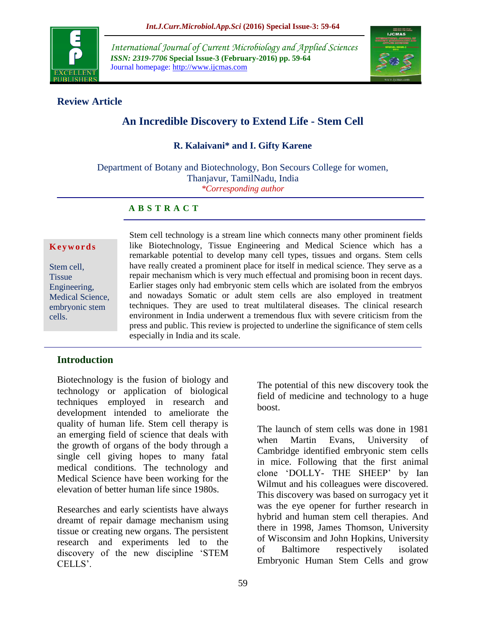

*International Journal of Current Microbiology and Applied Sciences ISSN: 2319-7706* **Special Issue-3 (February-2016) pp. 59-64** Journal homepage: http://www.ijcmas.com



# **Review Article**

# **An Incredible Discovery to Extend Life - Stem Cell**

### **R. Kalaivani\* and I. Gifty Karene**

Department of Botany and Biotechnology, Bon Secours College for women, Thanjavur, TamilNadu, India *\*Corresponding author*

#### **A B S T R A C T**

#### **K e y w o r d s**

Stem cell, **Tissue** Engineering, Medical Science, embryonic stem cells.

Stem cell technology is a stream line which connects many other prominent fields like Biotechnology, Tissue Engineering and Medical Science which has a remarkable potential to develop many cell types, tissues and organs. Stem cells have really created a prominent place for itself in medical science. They serve as a repair mechanism which is very much effectual and promising boon in recent days. Earlier stages only had embryonic stem cells which are isolated from the embryos and nowadays Somatic or adult stem cells are also employed in treatment techniques. They are used to treat multilateral diseases. The clinical research environment in India underwent a tremendous flux with severe criticism from the press and public. This review is projected to underline the significance of stem cells especially in India and its scale.

#### **Introduction**

Biotechnology is the fusion of biology and technology or application of biological techniques employed in research and development intended to ameliorate the quality of human life. Stem cell therapy is an emerging field of science that deals with the growth of organs of the body through a single cell giving hopes to many fatal medical conditions. The technology and Medical Science have been working for the elevation of better human life since 1980s.

Researches and early scientists have always dreamt of repair damage mechanism using tissue or creating new organs. The persistent research and experiments led to the discovery of the new discipline "STEM CELLS'.

The potential of this new discovery took the field of medicine and technology to a huge boost.

The launch of stem cells was done in 1981 when Martin Evans, University of Cambridge identified embryonic stem cells in mice. Following that the first animal clone "DOLLY- THE SHEEP" by Ian Wilmut and his colleagues were discovered. This discovery was based on surrogacy yet it was the eye opener for further research in hybrid and human stem cell therapies. And there in 1998, James Thomson, University of Wisconsim and John Hopkins, University of Baltimore respectively isolated Embryonic Human Stem Cells and grow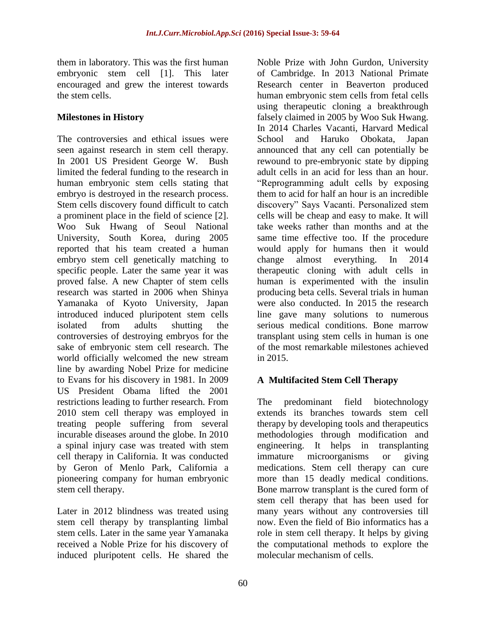them in laboratory. This was the first human embryonic stem cell [1]. This later encouraged and grew the interest towards the stem cells.

# **Milestones in History**

The controversies and ethical issues were seen against research in stem cell therapy. In 2001 US President George W. Bush limited the federal funding to the research in human embryonic stem cells stating that embryo is destroyed in the research process. Stem cells discovery found difficult to catch a prominent place in the field of science [2]. Woo Suk Hwang of Seoul National University, South Korea, during 2005 reported that his team created a human embryo stem cell genetically matching to specific people. Later the same year it was proved false. A new Chapter of stem cells research was started in 2006 when Shinya Yamanaka of Kyoto University, Japan introduced induced pluripotent stem cells isolated from adults shutting the controversies of destroying embryos for the sake of embryonic stem cell research. The world officially welcomed the new stream line by awarding Nobel Prize for medicine to Evans for his discovery in 1981. In 2009 US President Obama lifted the 2001 restrictions leading to further research. From 2010 stem cell therapy was employed in treating people suffering from several incurable diseases around the globe. In 2010 a spinal injury case was treated with stem cell therapy in California. It was conducted by Geron of Menlo Park, California a pioneering company for human embryonic stem cell therapy.

Later in 2012 blindness was treated using stem cell therapy by transplanting limbal stem cells. Later in the same year Yamanaka received a Noble Prize for his discovery of induced pluripotent cells. He shared the

Noble Prize with John Gurdon, University of Cambridge. In 2013 National Primate Research center in Beaverton produced human embryonic stem cells from fetal cells using therapeutic cloning a breakthrough falsely claimed in 2005 by Woo Suk Hwang. In 2014 Charles Vacanti, Harvard Medical School and Haruko Obokata, Japan announced that any cell can potentially be rewound to pre-embryonic state by dipping adult cells in an acid for less than an hour. "Reprogramming adult cells by exposing them to acid for half an hour is an incredible discovery" Says Vacanti. Personalized stem cells will be cheap and easy to make. It will take weeks rather than months and at the same time effective too. If the procedure would apply for humans then it would change almost everything. In 2014 therapeutic cloning with adult cells in human is experimented with the insulin producing beta cells. Several trials in human were also conducted. In 2015 the research line gave many solutions to numerous serious medical conditions. Bone marrow transplant using stem cells in human is one of the most remarkable milestones achieved in 2015.

# **A Multifacited Stem Cell Therapy**

The predominant field biotechnology extends its branches towards stem cell therapy by developing tools and therapeutics methodologies through modification and engineering. It helps in transplanting immature microorganisms or giving medications. Stem cell therapy can cure more than 15 deadly medical conditions. Bone marrow transplant is the cured form of stem cell therapy that has been used for many years without any controversies till now. Even the field of Bio informatics has a role in stem cell therapy. It helps by giving the computational methods to explore the molecular mechanism of cells.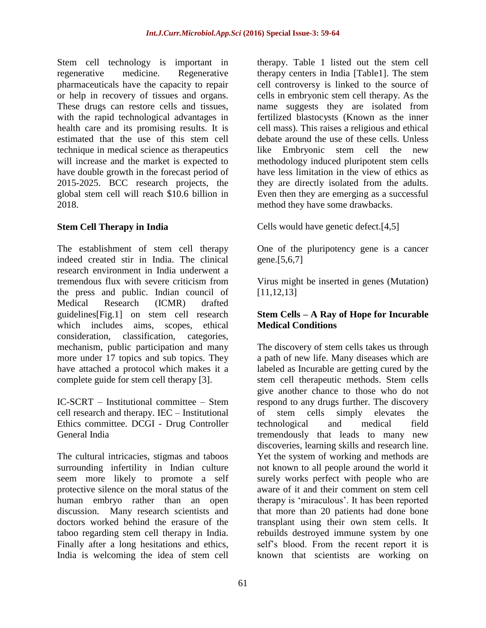Stem cell technology is important in regenerative medicine. Regenerative pharmaceuticals have the capacity to repair or help in recovery of tissues and organs. These drugs can restore cells and tissues, with the rapid technological advantages in health care and its promising results. It is estimated that the use of this stem cell technique in medical science as therapeutics will increase and the market is expected to have double growth in the forecast period of 2015-2025. BCC research projects, the global stem cell will reach \$10.6 billion in 2018.

# **Stem Cell Therapy in India**

The establishment of stem cell therapy indeed created stir in India. The clinical research environment in India underwent a tremendous flux with severe criticism from the press and public. Indian council of Medical Research (ICMR) drafted guidelines[Fig.1] on stem cell research which includes aims, scopes, ethical consideration, classification, categories, mechanism, public participation and many more under 17 topics and sub topics. They have attached a protocol which makes it a complete guide for stem cell therapy [3].

IC-SCRT – Institutional committee – Stem cell research and therapy. IEC – Institutional Ethics committee. DCGI - Drug Controller General India

The cultural intricacies, stigmas and taboos surrounding infertility in Indian culture seem more likely to promote a self protective silence on the moral status of the human embryo rather than an open discussion. Many research scientists and doctors worked behind the erasure of the taboo regarding stem cell therapy in India. Finally after a long hesitations and ethics, India is welcoming the idea of stem cell

therapy. Table 1 listed out the stem cell therapy centers in India [Table1]. The stem cell controversy is linked to the source of cells in embryonic stem cell therapy. As the name suggests they are isolated from fertilized blastocysts (Known as the inner cell mass). This raises a religious and ethical debate around the use of these cells. Unless like Embryonic stem cell the new methodology induced pluripotent stem cells have less limitation in the view of ethics as they are directly isolated from the adults. Even then they are emerging as a successful method they have some drawbacks.

Cells would have genetic defect.[4,5]

One of the pluripotency gene is a cancer gene.[5,6,7]

Virus might be inserted in genes (Mutation) [11,12,13]

# **Stem Cells – A Ray of Hope for Incurable Medical Conditions**

The discovery of stem cells takes us through a path of new life. Many diseases which are labeled as Incurable are getting cured by the stem cell therapeutic methods. Stem cells give another chance to those who do not respond to any drugs further. The discovery of stem cells simply elevates the technological and medical field tremendously that leads to many new discoveries, learning skills and research line. Yet the system of working and methods are not known to all people around the world it surely works perfect with people who are aware of it and their comment on stem cell therapy is "miraculous". It has been reported that more than 20 patients had done bone transplant using their own stem cells. It rebuilds destroyed immune system by one self"s blood. From the recent report it is known that scientists are working on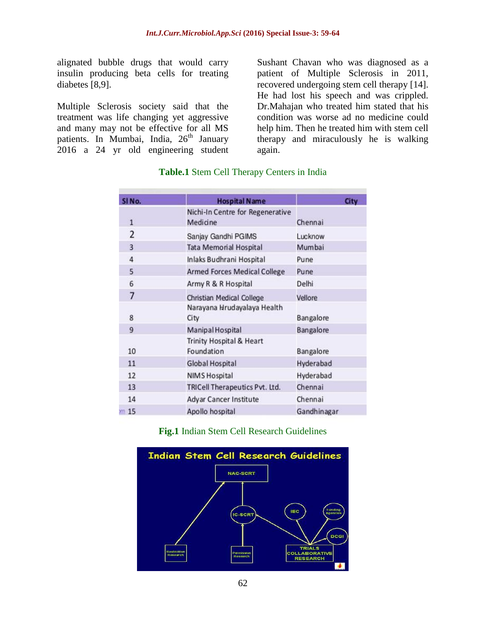alignated bubble drugs that would carry insulin producing beta cells for treating diabetes [8,9].

Multiple Sclerosis society said that the treatment was life changing yet aggressive and many may not be effective for all MS patients. In Mumbai, India, 26<sup>th</sup> January 2016 a 24 yr old engineering student

Sushant Chavan who was diagnosed as a patient of Multiple Sclerosis in 2011, recovered undergoing stem cell therapy [14]. He had lost his speech and was crippled. Dr.Mahajan who treated him stated that his condition was worse ad no medicine could help him. Then he treated him with stem cell therapy and miraculously he is walking again.

| SINo.           | <b>Hospital Name</b>                         | City        |
|-----------------|----------------------------------------------|-------------|
| $\mathbf{1}$    | Nichi-In Centre for Regenerative<br>Medicine | Chennai     |
| 2               | Sanjay Gandhi PGIMS                          | Lucknow     |
| $\overline{3}$  | <b>Tata Memorial Hospital</b>                | Mumbai      |
| $\overline{4}$  | Inlaks Budhrani Hospital                     | Pune        |
| 5               | <b>Armed Forces Medical College</b>          | Pune        |
| 6               | Army R & R Hospital                          | Delhi       |
| 7               | Christian Medical College                    | Vellore     |
| 8               | Narayana Hrudayalaya Health<br>City          | Bangalore   |
| 9               | Manipal Hospital                             | Bangalore   |
| 10              | Trinity Hospital & Heart<br>Foundation       | Bangalore   |
| 11              | <b>Global Hospital</b>                       | Hyderabad   |
| 12              | <b>NIMS Hospital</b>                         | Hyderabad   |
| 13              | TRICell Therapeutics Pvt. Ltd.               | Chennai     |
| 14              | Adyar Cancer Institute                       | Chennai     |
| m <sub>15</sub> | Apollo hospital                              | Gandhinagar |

#### **Table.1** Stem Cell Therapy Centers in India

**Fig.1** Indian Stem Cell Research Guidelines

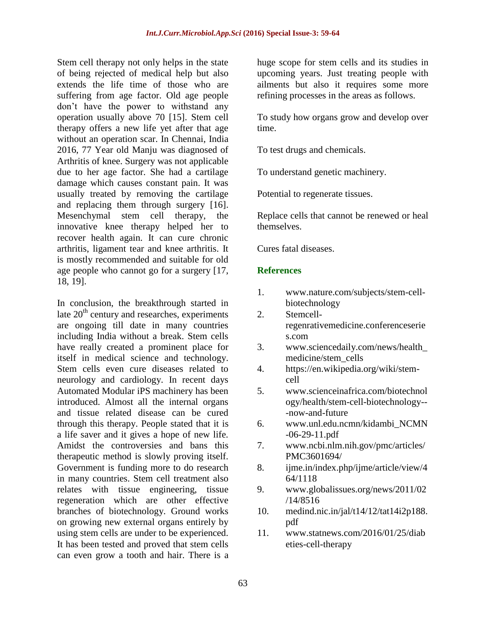Stem cell therapy not only helps in the state of being rejected of medical help but also extends the life time of those who are suffering from age factor. Old age people don"t have the power to withstand any operation usually above 70 [15]. Stem cell therapy offers a new life yet after that age without an operation scar. In Chennai, India 2016, 77 Year old Manju was diagnosed of Arthritis of knee. Surgery was not applicable due to her age factor. She had a cartilage damage which causes constant pain. It was usually treated by removing the cartilage and replacing them through surgery [16]. Mesenchymal stem cell therapy, the innovative knee therapy helped her to recover health again. It can cure chronic arthritis, ligament tear and knee arthritis. It is mostly recommended and suitable for old age people who cannot go for a surgery [17, 18, 19].

In conclusion, the breakthrough started in late  $20<sup>th</sup>$  century and researches, experiments are ongoing till date in many countries including India without a break. Stem cells have really created a prominent place for itself in medical science and technology. Stem cells even cure diseases related to neurology and cardiology. In recent days Automated Modular iPS machinery has been introduced. Almost all the internal organs and tissue related disease can be cured through this therapy. People stated that it is a life saver and it gives a hope of new life. Amidst the controversies and bans this therapeutic method is slowly proving itself. Government is funding more to do research in many countries. Stem cell treatment also relates with tissue engineering, tissue regeneration which are other effective branches of biotechnology. Ground works on growing new external organs entirely by using stem cells are under to be experienced. It has been tested and proved that stem cells can even grow a tooth and hair. There is a

huge scope for stem cells and its studies in upcoming years. Just treating people with ailments but also it requires some more refining processes in the areas as follows.

To study how organs grow and develop over time.

To test drugs and chemicals.

To understand genetic machinery.

Potential to regenerate tissues.

Replace cells that cannot be renewed or heal themselves.

Cures fatal diseases.

#### **References**

- 1. [www.nature.com/subjects/stem-cell](http://www.nature.com/subjects/stem-cell-biotechnology)[biotechnology](http://www.nature.com/subjects/stem-cell-biotechnology)
- 2. Stemcellregenrativemedicine.conferenceserie s.com
- 3. [www.sciencedaily.com/news/health\\_](http://www.sciencedaily.com/news/health_medicine/stem_cells) [medicine/stem\\_cells](http://www.sciencedaily.com/news/health_medicine/stem_cells)
- 4. [https://en.wikipedia.org/wiki/stem](https://en.wikipedia.org/wiki/stem-cell)[cell](https://en.wikipedia.org/wiki/stem-cell)
- 5. [www.scienceinafrica.com/biotechnol](http://www.scienceinafrica.com/biotechnology/health/stem-cell-biotechnology---now-and-future) [ogy/health/stem-cell-biotechnology--](http://www.scienceinafrica.com/biotechnology/health/stem-cell-biotechnology---now-and-future) [-now-and-future](http://www.scienceinafrica.com/biotechnology/health/stem-cell-biotechnology---now-and-future)
- 6. [www.unl.edu.ncmn/kidambi\\_NCMN](http://www.unl.edu.ncmn/kidambi_NCMN-06-29-11.pdf) [-06-29-11.pdf](http://www.unl.edu.ncmn/kidambi_NCMN-06-29-11.pdf)
- 7. [www.ncbi.nlm.nih.gov/pmc/articles/](http://www.ncbi.nlm.nih.gov/pmc/articles/PMC3601694/) [PMC3601694/](http://www.ncbi.nlm.nih.gov/pmc/articles/PMC3601694/)
- 8. ijme.in/index.php/ijme/article/view/4 64/1118
- 9. [www.globalissues.org/news/2011/02](http://www.globalissues.org/news/2011/02/14/8516) [/14/8516](http://www.globalissues.org/news/2011/02/14/8516)
- 10. medind.nic.in/jal/t14/12/tat14i2p188. pdf
- 11. [www.statnews.com/2016/01/25/diab](http://www.statnews.com/2016/01/25/diabeties-cell-therapy) [eties-cell-therapy](http://www.statnews.com/2016/01/25/diabeties-cell-therapy)